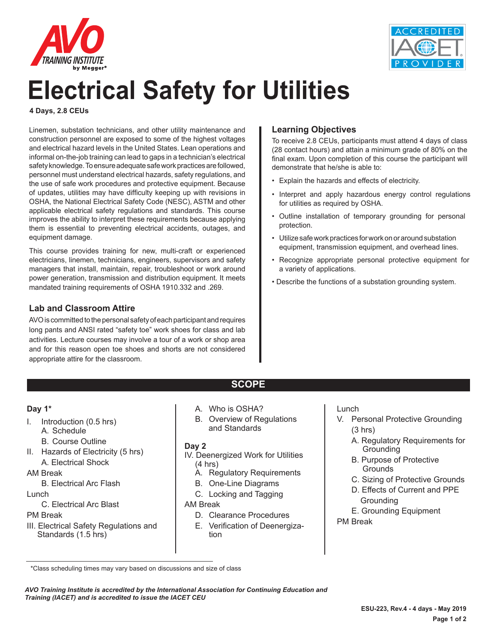



# **Electrical Safety for Utilities**

**4 Days, 2.8 CEUs**

Linemen, substation technicians, and other utility maintenance and construction personnel are exposed to some of the highest voltages and electrical hazard levels in the United States. Lean operations and informal on-the-job training can lead to gaps in a technician's electrical safety knowledge. To ensure adequate safe work practices are followed, personnel must understand electrical hazards, safety regulations, and the use of safe work procedures and protective equipment. Because of updates, utilities may have difficulty keeping up with revisions in OSHA, the National Electrical Safety Code (NESC), ASTM and other applicable electrical safety regulations and standards. This course improves the ability to interpret these requirements because applying them is essential to preventing electrical accidents, outages, and equipment damage.

This course provides training for new, multi-craft or experienced electricians, linemen, technicians, engineers, supervisors and safety managers that install, maintain, repair, troubleshoot or work around power generation, transmission and distribution equipment. It meets mandated training requirements of OSHA 1910.332 and .269.

#### **Lab and Classroom Attire**

AVO is committed to the personal safety of each participant and requires long pants and ANSI rated "safety toe" work shoes for class and lab activities. Lecture courses may involve a tour of a work or shop area and for this reason open toe shoes and shorts are not considered appropriate attire for the classroom.

### **Learning Objectives**

To receive 2.8 CEUs, participants must attend 4 days of class (28 contact hours) and attain a minimum grade of 80% on the final exam. Upon completion of this course the participant will demonstrate that he/she is able to:

- Explain the hazards and effects of electricity.
- Interpret and apply hazardous energy control regulations for utilities as required by OSHA.
- Outline installation of temporary grounding for personal protection.
- Utilize safe work practices for work on or around substation equipment, transmission equipment, and overhead lines.
- Recognize appropriate personal protective equipment for a variety of applications.
- Describe the functions of a substation grounding system.

#### **Day 1\***

- I. Introduction (0.5 hrs)
	- A. Schedule
	- B. Course Outline
- II. Hazards of Electricity (5 hrs) A. Electrical Shock
- AM Break
	- B. Electrical Arc Flash
- Lunch
	- C. Electrical Arc Blast

#### PM Break

III. Electrical Safety Regulations and Standards (1.5 hrs)

- A. Who is OSHA?
- B. Overview of Regulations and Standards

**SCOPE**

#### **Day 2**

- IV. Deenergized Work for Utilities (4 hrs)
	- A. Regulatory Requirements
	- B. One-Line Diagrams
	- C. Locking and Tagging

#### AM Break

- D. Clearance Procedures
- E. Verification of Deenergization

#### Lunch

- V. Personal Protective Grounding (3 hrs)
	- A. Regulatory Requirements for Grounding
	- B. Purpose of Protective **Grounds**
	- C. Sizing of Protective Grounds
	- D. Effects of Current and PPE Grounding
	- E. Grounding Equipment
- PM Break

*AVO Training Institute is accredited by the International Association for Continuing Education and Training (IACET) and is accredited to issue the IACET CEU*

 <sup>\*</sup>Class scheduling times may vary based on discussions and size of class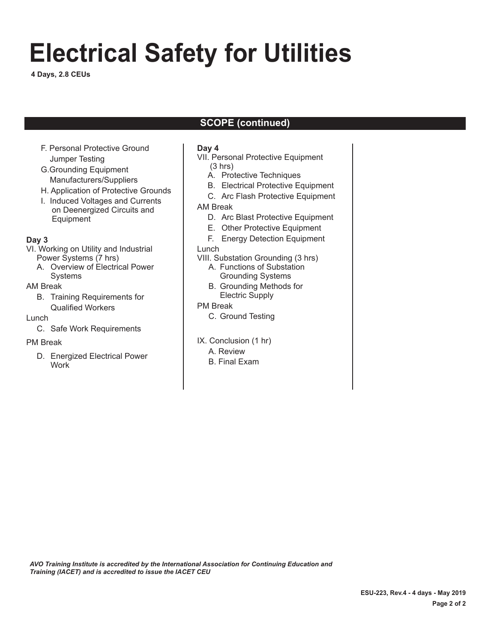# **Electrical Safety for Utilities**

**4 Days, 2.8 CEUs**

## **SCOPE (continued)**

- F. Personal Protective Ground Jumper Testing
- G.Grounding Equipment Manufacturers/Suppliers
- H. Application of Protective Grounds
- I. Induced Voltages and Currents on Deenergized Circuits and Equipment

#### **Day 3**

- VI. Working on Utility and Industrial Power Systems (7 hrs)
	- A. Overview of Electrical Power Systems

#### AM Break

B. Training Requirements for Qualified Workers

#### Lunch

C. Safe Work Requirements

#### PM Break

D. Energized Electrical Power **Work** 

#### **Day 4**

- VII. Personal Protective Equipment (3 hrs)
	- A. Protective Techniques
	- B. Electrical Protective Equipment
	- C. Arc Flash Protective Equipment

#### AM Break

- D. Arc Blast Protective Equipment
- E. Other Protective Equipment
- F. Energy Detection Equipment

#### Lunch

- VIII. Substation Grounding (3 hrs)
	- A. Functions of Substation Grounding Systems
	- B. Grounding Methods for
	- Electric Supply

### PM Break

- C. Ground Testing
- IX. Conclusion (1 hr)
	- A. Review
	- B. Final Exam